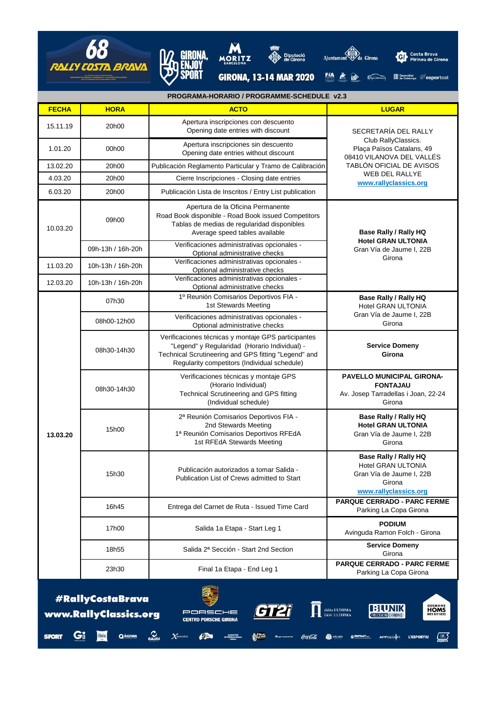



 $\overbrace{\mathbf{Q}}^{\mathtt{A}\mathtt{c}\mathtt{OR}\mathtt{A}}$   $\overbrace{\mathbf{Q}}^{\mathtt{A}\mathtt{U}\mathtt{OR}\mathtt{A}}$   $\mathcal{N}^{\mathtt{smalla}}$ 

 $\epsilon$  and  $\epsilon$ 

**CALLER Supremoted** COLE Cola

Gi

**SPORT** 

ibis







 $\overline{\mathcal{L}}$ 

**Otologic OREPEAT.** APPSESOR L'ESPORTIU

GIRONA, 13-14 MAR 2020 14 E ED ASSESSION MISSIONS CONDUCTED

| PROGRAMA-HORARIO / PROGRAMME-SCHEDULE v2.3                                                                                                                                                                |                   |                                                                                                                                                                                                              |                                                                                                                                                                              |  |
|-----------------------------------------------------------------------------------------------------------------------------------------------------------------------------------------------------------|-------------------|--------------------------------------------------------------------------------------------------------------------------------------------------------------------------------------------------------------|------------------------------------------------------------------------------------------------------------------------------------------------------------------------------|--|
| <b>FECHA</b>                                                                                                                                                                                              | <b>HORA</b>       | <b>ACTO</b>                                                                                                                                                                                                  | <b>LUGAR</b>                                                                                                                                                                 |  |
| 15.11.19                                                                                                                                                                                                  | 20h00             | Apertura inscripciones con descuento<br>Opening date entries with discount                                                                                                                                   | SECRETARÍA DEL RALLY<br>Club RallyClassics.<br>Plaça Països Catalans, 49<br>08410 VILANOVA DEL VALLÉS<br>TABLÓN OFICIAL DE AVISOS<br>WEB DEL RALLYE<br>www.rallyclassics.org |  |
| 1.01.20                                                                                                                                                                                                   | 00h00             | Apertura inscripciones sin descuento<br>Opening date entries without discount                                                                                                                                |                                                                                                                                                                              |  |
| 13.02.20                                                                                                                                                                                                  | 20h00             | Publicación Reglamento Particular y Tramo de Calibración                                                                                                                                                     |                                                                                                                                                                              |  |
| 4.03.20                                                                                                                                                                                                   | 20h00             | Cierre Inscripciones - Closing date entries                                                                                                                                                                  |                                                                                                                                                                              |  |
| 6.03.20                                                                                                                                                                                                   | 20h00             | Publicación Lista de Inscritos / Entry List publication                                                                                                                                                      |                                                                                                                                                                              |  |
| 10.03.20                                                                                                                                                                                                  | 09h00             | Apertura de la Oficina Permanente<br>Road Book disponible - Road Book issued Competitors<br>Tablas de medias de regularidad disponibles<br>Average speed tables available                                    | <b>Base Rally / Rally HQ</b><br><b>Hotel GRAN ULTONIA</b><br>Gran Vía de Jaume I, 22B<br>Girona                                                                              |  |
|                                                                                                                                                                                                           | 09h-13h / 16h-20h | Verificaciones administrativas opcionales -<br>Optional administrative checks                                                                                                                                |                                                                                                                                                                              |  |
| 11.03.20                                                                                                                                                                                                  | 10h-13h / 16h-20h | Verificaciones administrativas opcionales -<br>Optional administrative checks                                                                                                                                |                                                                                                                                                                              |  |
| 12.03.20                                                                                                                                                                                                  | 10h-13h / 16h-20h | Verificaciones administrativas opcionales -<br>Optional administrative checks                                                                                                                                |                                                                                                                                                                              |  |
| 13.03.20                                                                                                                                                                                                  | 07h30             | 1º Reunión Comisarios Deportivos FIA -<br>1st Stewards Meeting                                                                                                                                               | Base Rally / Rally HQ<br>Hotel GRAN ULTONIA<br>Gran Vía de Jaume I, 22B<br>Girona                                                                                            |  |
|                                                                                                                                                                                                           | 08h00-12h00       | Verificaciones administrativas opcionales -<br>Optional administrative checks                                                                                                                                |                                                                                                                                                                              |  |
|                                                                                                                                                                                                           | 08h30-14h30       | Verificaciones técnicas y montaje GPS participantes<br>"Legend" y Regularidad (Horario Individual) -<br>Technical Scrutineering and GPS fitting "Legend" and<br>Regularity competitors (Individual schedule) | <b>Service Domeny</b><br>Girona                                                                                                                                              |  |
|                                                                                                                                                                                                           | 08h30-14h30       | Verificaciones técnicas y montaje GPS<br>(Horario Individual)<br>Technical Scrutineering and GPS fitting<br>(Individual schedule)                                                                            | <b>PAVELLO MUNICIPAL GIRONA-</b><br><b>FONTAJAU</b><br>Av. Josep Tarradellas i Joan, 22-24<br>Girona                                                                         |  |
|                                                                                                                                                                                                           | 15h00             | 2ª Reunión Comisarios Deportivos FIA -<br>2nd Stewards Meeting<br>1ª Reunión Comisarios Deportivos RFEdA<br>1st RFEdA Stewards Meeting                                                                       | <b>Base Rally / Rally HQ</b><br><b>Hotel GRAN ULTONIA</b><br>Gran Vía de Jaume I, 22B<br>Girona                                                                              |  |
|                                                                                                                                                                                                           | 15h30             | Publicación autorizados a tomar Salida -<br>Publication List of Crews admitted to Start                                                                                                                      | <b>Base Rally / Rally HQ</b><br>Hotel GRAN ULTONIA<br>Gran Vía de Jaume I, 22B<br>Girona<br>www.rallyclassics.org                                                            |  |
|                                                                                                                                                                                                           | 16h45             | Entrega del Carnet de Ruta - Issued Time Card                                                                                                                                                                | PARQUE CERRADO - PARC FERME<br>Parking La Copa Girona                                                                                                                        |  |
|                                                                                                                                                                                                           | 17h00             | Salida 1a Etapa - Start Leg 1                                                                                                                                                                                | <b>PODIUM</b><br>Avinguda Ramon Folch - Girona                                                                                                                               |  |
|                                                                                                                                                                                                           | 18h55             | Salida 2ª Sección - Start 2nd Section                                                                                                                                                                        | <b>Service Domeny</b><br>Girona                                                                                                                                              |  |
|                                                                                                                                                                                                           | 23h30             | Final 1a Etapa - End Leg 1                                                                                                                                                                                   | <b>PARQUE CERRADO - PARC FERME</b><br>Parking La Copa Girona                                                                                                                 |  |
| #RallyCostaBrava<br><b>GERMANS</b><br><b>HOMS</b><br>DES DE 1852<br>BUNK<br>doria. ULTONIA<br>www.RallyClassics.org<br>PORSCHE<br>GRAS ULTONIA<br><b>PRECISION CHRONO</b><br><b>CENTRO PORSCHE GIRONA</b> |                   |                                                                                                                                                                                                              |                                                                                                                                                                              |  |